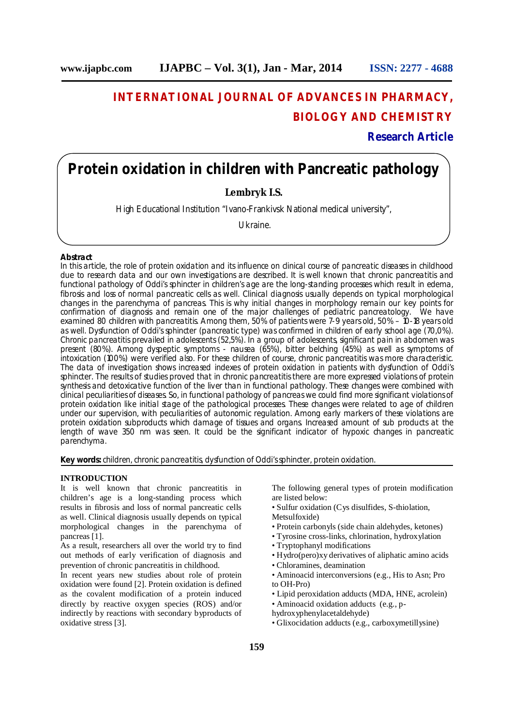# **INTERNATIONAL JOURNAL OF ADVANCES IN PHARMACY, BIOLOGY AND CHEMISTRY**

**Research Article**

## **Protein oxidation in children with Pancreatic pathology**

**Lembryk I.S.**

High Educational Institution "Ivano-Frankivsk National medical university",

Ukraine.

#### **Abstract**

In this article, the role of protein oxidation and its influence on clinical course of pancreatic diseases in childhood due to research data and our own investigations are described. It is well known that chronic pancreatitis and functional pathology of Oddi's sphincter in children's age are the long-standing processes which result in edema, fibrosis and loss of normal pancreatic cells as well. Clinical diagnosis usually depends on typical morphological changes in the parenchyma of pancreas. This is why initial changes in morphology remain our key points for confirmation of diagnosis and remain one of the major challenges of pediatric pancreatology. We have examined 80 children with pancreatitis. Among them, 50% of patients were 7-9 years old, 50% – 10-18 years old as well. Dysfunction of Oddi's sphincter (pancreatic type) was confirmed in children of early school age (70,0%). Chronic pancreatitis prevailed in adolescents (52,5%). In a group of adolescents, significant pain in abdomen was present (80%). Among dyspeptic symptoms - nausea (65%), bitter belching (45%) as well as symptoms of intoxication (100%) were verified also. For these children of course, chronic pancreatitis was more characteristic. The data of investigation shows increased indexes of protein oxidation in patients with dysfunction of Oddi's sphincter. The results of studies proved that in chronic pancreatitis there are more expressed violations of protein synthesis and detoxicative function of the liver than in functional pathology. These changes were combined with clinical peculiarities of diseases. So, in functional pathology of pancreas we could find more significant violations of protein oxidation like initial stage of the pathological processes. These changes were related to age of children under our supervision, with peculiarities of autonomic regulation. Among early markers of these violations are protein oxidation subproducts which damage of tissues and organs. Increased amount of sub products at the length of wave 350 nm was seen. It could be the significant indicator of hypoxic changes in pancreatic parenchyma.

**Key words:** children, chronic pancreatitis, dysfunction of Oddi's sphincter, protein oxidation.

### **INTRODUCTION**

It is well known that chronic pancreatitis in children's age is a long-standing process which results in fibrosis and loss of normal pancreatic cells as well. Clinical diagnosis usually depends on typical morphological changes in the parenchyma of pancreas [1].

As a result, researchers all over the world try to find out methods of early verification of diagnosis and prevention of chronic pancreatitis in childhood.

In recent years new studies about role of protein oxidation were found [2]. Protein oxidation is defined as the covalent modification of a protein induced directly by reactive oxygen species (ROS) and/or indirectly by reactions with secondary byproducts of oxidative stress [3].

The following general types of protein modification are listed below: • Sulfur oxidation (Cys disulfides, S-thiolation,

Metsulfoxide)

- Protein carbonyls (side chain aldehydes, ketones)
- Tyrosine cross-links, chlorination, hydroxylation
- Tryptophanyl modifications
- Hydro(pero)xy derivatives of aliphatic amino acids
- Chloramines, deamination
- Aminoacid interconversions (e.g., His to Asn; Pro to OH-Pro)
- Lipid peroxidation adducts (MDA, HNE, acrolein) • Aminoacid oxidation adducts (e.g., p-
- hydroxyphenylacetaldehyde)
- Glixocidation adducts (e.g., carboxymetillysine)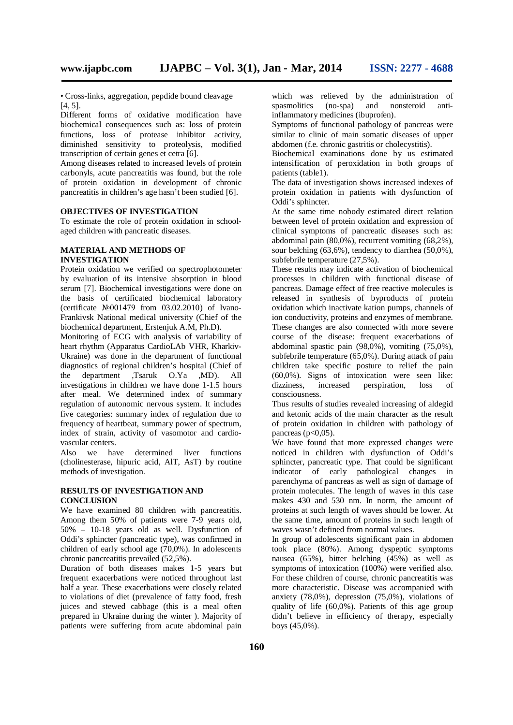• Cross-links, aggregation, pepdide bound cleavage [4, 5].

Different forms of oxidative modification have biochemical consequences such as: loss of protein functions, loss of protease inhibitor activity, diminished sensitivity to proteolysis, modified transcription of certain genes et cetra [6].

Among diseases related to increased levels of protein carbonyls, acute pancreatitis was found, but the role of protein oxidation in development of chronic pancreatitis in children's age hasn't been studied [6].

## **OBJECTIVES OF INVESTIGATION**

To estimate the role of protein oxidation in schoolaged children with pancreatic diseases.

## **MATERIAL AND METHODS OF INVESTIGATION**

Protein oxidation we verified on spectrophotometer by evaluation of its intensive absorption in blood serum [7]. Biochemical investigations were done on the basis of certificated biochemical laboratory (certificate №001479 from 03.02.2010) of Ivano-Frankivsk National medical university (Chief of the biochemical department, Erstenjuk A.M, Ph.D).

Monitoring of ECG with analysis of variability of heart rhythm (Apparatus CardioLAb VHR, Kharkiv-Ukraine) was done in the department of functional diagnostics of regional children's hospital (Chief of the department ,Tsaruk O.Ya ,MD). All investigations in children we have done 1-1.5 hours after meal. We determined index of summary regulation of autonomic nervous system. It includes five categories: summary index of regulation due to frequency of heartbeat, summary power of spectrum, index of strain, activity of vasomotor and cardiovascular centers.

Also we have determined liver functions (cholinesterase, hipuric acid, AlT, AsT) by routine methods of investigation.

## **RESULTS OF INVESTIGATION AND CONCLUSION**

We have examined 80 children with pancreatitis. Among them 50% of patients were 7-9 years old, 50% – 10-18 years old as well. Dysfunction of Oddi's sphincter (pancreatic type), was confirmed in children of early school age (70,0%). In adolescents chronic pancreatitis prevailed (52,5%).

Duration of both diseases makes 1-5 years but frequent exacerbations were noticed throughout last half a year. These exacerbations were closely related to violations of diet (prevalence of fatty food, fresh juices and stewed cabbage (this is a meal often prepared in Ukraine during the winter ). Majority of patients were suffering from acute abdominal pain

which was relieved by the administration of spasmolitics (no-spa) and nonsteroid antiinflammatory medicines (ibuprofen).

Symptoms of functional pathology of pancreas were similar to clinic of main somatic diseases of upper abdomen (f.e. chronic gastritis or cholecystitis).

Biochemical examinations done by us estimated intensification of peroxidation in both groups of patients (table1).

The data of investigation shows increased indexes of protein oxidation in patients with dysfunction of Oddi's sphincter.

At the same time nobody estimated direct relation between level of protein oxidation and expression of clinical symptoms of pancreatic diseases such as: abdominal pain (80,0%), recurrent vomiting (68,2%), sour belching (63,6%), tendency to diarrhea (50,0%), subfebrile temperature (27,5%).

These results may indicate activation of biochemical processes in children with functional disease of pancreas. Damage effect of free reactive molecules is released in synthesis of byproducts of protein oxidation which inactivate kation pumps, channels of ion conductivity, proteins and enzymes of membrane. These changes are also connected with more severe course of the disease: frequent exacerbations of abdominal spastic pain  $(98,0\%)$ , vomiting  $(75,0\%)$ , subfebrile temperature (65,0%). During attack of pain children take specific posture to relief the pain (60,0%). Signs of intoxication were seen like: dizziness, increased perspiration, loss of consciousness.

Thus results of studies revealed increasing of aldegid and ketonic acids of the main character as the result of protein oxidation in children with pathology of pancreas ( $p<0.05$ ).

We have found that more expressed changes were noticed in children with dysfunction of Oddi's sphincter, pancreatic type. That could be significant indicator of early pathological changes in parenchyma of pancreas as well as sign of damage of protein molecules. The length of waves in this case makes 430 and 530 nm. In norm, the amount of proteins at such length of waves should be lower. At the same time, amount of proteins in such length of waves wasn't defined from normal values.

In group of adolescents significant pain in abdomen took place (80%). Among dyspeptic symptoms nausea (65%), bitter belching (45%) as well as symptoms of intoxication (100%) were verified also. For these children of course, chronic pancreatitis was more characteristic. Disease was accompanied with anxiety (78,0%), depression (75,0%), violations of quality of life  $(60,0\%)$ . Patients of this age group didn't believe in efficiency of therapy, especially boys (45,0%).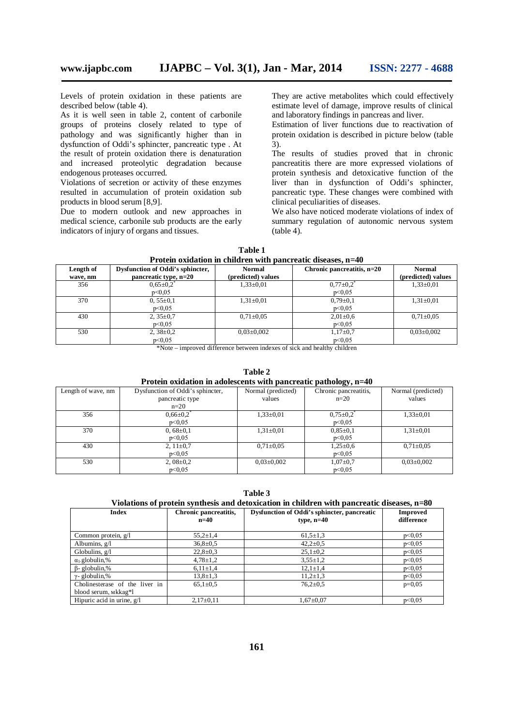Levels of protein oxidation in these patients are described below (table 4).

As it is well seen in table 2, content of carbonile groups of proteins closely related to type of pathology and was significantly higher than in dysfunction of Oddi's sphincter, pancreatic type . At the result of protein oxidation there is denaturation and increased proteolytic degradation because endogenous proteases occurred.

Violations of secretion or activity of these enzymes resulted in accumulation of protein oxidation sub products in blood serum [8,9].

Due to modern outlook and new approaches in medical science, carbonile sub products are the early indicators of injury of organs and tissues.

They are active metabolites which could effectively estimate level of damage, improve results of clinical and laboratory findings in pancreas and liver.

Estimation of liver functions due to reactivation of protein oxidation is described in picture below (table 3).

The results of studies proved that in chronic pancreatitis there are more expressed violations of protein synthesis and detoxicative function of the liver than in dysfunction of Oddi's sphincter, pancreatic type. These changes were combined with clinical peculiarities of diseases.

We also have noticed moderate violations of index of summary regulation of autonomic nervous system (table 4).

| Length of<br>wave, nm | Dysfunction of Oddi's sphincter,<br>pancreatic type, n=20 | Normal<br>(predicted) values | Chronic pancreatitis, $n=20$ | <b>Normal</b><br>(predicted) values |
|-----------------------|-----------------------------------------------------------|------------------------------|------------------------------|-------------------------------------|
| 356                   | $0,65{\pm}0.2$                                            | $1,33\pm0.01$                | $0.77 \pm 0.2$               | $1,33\pm0.01$                       |
|                       | p<0.05                                                    |                              | p<0.05                       |                                     |
| 370                   | $0,55\pm0.1$                                              | $1,31 \pm 0.01$              | $0,79\pm0.1$                 | $1,31\pm0.01$                       |
|                       | p<0.05                                                    |                              | p<0.05                       |                                     |
| 430                   | $2,35\pm0.7$                                              | $0.71 \pm 0.05$              | $2,01 \pm 0.6$               | $0.71 + 0.05$                       |
|                       | p<0.05                                                    |                              | p<0.05                       |                                     |
| 530                   | $2,38\pm0.2$                                              | $0.03 \pm 0.002$             | $1,17\pm0.7$                 | $0.03 \pm 0.002$                    |
|                       | p<0.05<br>.<br>$\sim$ $ -$                                | .                            | p<0.05                       |                                     |

| Table 1                                                        |  |  |  |
|----------------------------------------------------------------|--|--|--|
| Protein oxidation in children with pancreatic diseases, $n=40$ |  |  |  |

\*Note – improved difference between indexes of sick and healthy children

### **Table 2 Protein oxidation in adolescents with pancreatic pathology, n=40**

|                    |                                  |                    | $\sim$                |                    |
|--------------------|----------------------------------|--------------------|-----------------------|--------------------|
| Length of wave, nm | Dysfunction of Oddi's sphincter, | Normal (predicted) | Chronic pancreatitis, | Normal (predicted) |
|                    | pancreatic type                  | values             | $n=20$                | values             |
|                    | $n=20$                           |                    |                       |                    |
| 356                | $0.66 \pm 0.2$                   | $1,33\pm0.01$      | $0,75\pm0.2$          | $1,33\pm0.01$      |
|                    | p<0.05                           |                    | p<0.05                |                    |
| 370                | $0,68 \pm 0.1$                   | $1,31\pm0.01$      | $0.85 \pm 0.1$        | $1,31\pm0.01$      |
|                    | p<0.05                           |                    | p<0.05                |                    |
| 430                | 2, $11\pm0.7$                    | $0.71 \pm 0.05$    | $1,25\pm0.6$          | $0.71 \pm 0.05$    |
|                    | p<0.05                           |                    | p<0.05                |                    |
| 530                | $2,08\pm0.2$                     | $0.03 \pm 0.002$   | $1,07+0,7$            | $0.03 \pm 0.002$   |
|                    | p<0,05                           |                    | p<0.05                |                    |

**Table 3**

## **Violations of protein synthesis and detoxication in children with pancreatic diseases, n=80**

| <b>Index</b>                   | Chronic pancreatitis,<br>$n=40$ | Dysfunction of Oddi's sphincter, pancreatic<br>type, $n=40$ | <b>Improved</b><br>difference |
|--------------------------------|---------------------------------|-------------------------------------------------------------|-------------------------------|
| Common protein, $g/I$          | $55.2 \pm 1.4$                  | $61.5 \pm 1.3$                                              | p<0.05                        |
| Albumins, $g/I$                | $36.8 \pm 0.5$                  | $42.2 \pm 0.5$                                              | p<0.05                        |
| Globulins, $g/l$               | $22.8 \pm 0.3$                  | $25,1 \pm 0.2$                                              | p<0.05                        |
| $\alpha_1$ -globulin,%         | $4,78\pm1,2$                    | $3.55 \pm 1.2$                                              | p<0.05                        |
| $\beta$ - globulin,%           | $6,11\pm1,4$                    | $12,1 \pm 1,4$                                              | p<0.05                        |
| $\gamma$ - globulin,%          | $13,8 \pm 1,3$                  | $11,2{\pm}1,3$                                              | p<0.05                        |
| Cholinesterase of the liver in | $65,1\pm0.5$                    | $76.2 \pm 0.5$                                              | $p=0,05$                      |
| blood serum, Mkkag*l           |                                 |                                                             |                               |
| Hipuric acid in urine, g/l     | $2,17\pm0,11$                   | $1,67 \pm 0.07$                                             | p<0.05                        |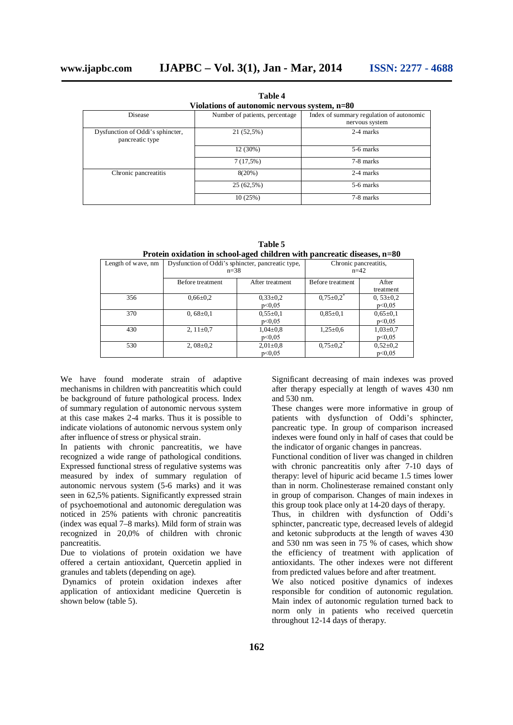| Violations of autonomic nervous system, n=80        |                                |                                                            |  |
|-----------------------------------------------------|--------------------------------|------------------------------------------------------------|--|
| Disease                                             | Number of patients, percentage | Index of summary regulation of autonomic<br>nervous system |  |
| Dysfunction of Oddi's sphincter,<br>pancreatic type | 21 (52,5%)                     | 2-4 marks                                                  |  |
|                                                     | 12 (30%)                       | 5-6 marks                                                  |  |
|                                                     | $7(17,5\%)$                    | 7-8 marks                                                  |  |
| Chronic pancreatitis                                | 8(20%)                         | 2-4 marks                                                  |  |
|                                                     | 25 (62,5%)                     | 5-6 marks                                                  |  |
|                                                     | 10(25%)                        | 7-8 marks                                                  |  |

**Table 4**

**Table 5 Protein oxidation in school-aged children with pancreatic diseases, n=80**

| т годин одинноп ш эспоот адеа спиш ен мин ранегсане авсазев, п=оо |                                                   |                 |                       |                |  |
|-------------------------------------------------------------------|---------------------------------------------------|-----------------|-----------------------|----------------|--|
| Length of wave, nm                                                | Dysfunction of Oddi's sphincter, pancreatic type, |                 | Chronic pancreatitis, |                |  |
|                                                                   | $n = 38$                                          |                 | $n=42$                |                |  |
|                                                                   | Before treatment                                  | After treatment | Before treatment      | After          |  |
|                                                                   |                                                   |                 |                       | treatment      |  |
| 356                                                               | $0.66 \pm 0.2$                                    | $0,33\pm0.2$    | $0,75 \pm 0.2$        | $0,53\pm0.2$   |  |
|                                                                   |                                                   | p<0.05          |                       | p<0.05         |  |
| 370                                                               | $0,68\pm0.1$                                      | $0,55\pm0.1$    | $0.85 \pm 0.1$        | $0,65\pm0,1$   |  |
|                                                                   |                                                   | p<0.05          |                       | p<0.05         |  |
| 430                                                               | 2, $11\pm0.7$                                     | $1,04\pm0.8$    | $1,25\pm0.6$          | $1,03\pm0.7$   |  |
|                                                                   |                                                   | p<0.05          |                       | p<0.05         |  |
| 530                                                               | 2, $08 \pm 0.2$                                   | $2,01\pm0.8$    | $0,75 \pm 0.2$        | $0,52{\pm}0,2$ |  |
|                                                                   |                                                   | p<0.05          |                       | p<0.05         |  |

We have found moderate strain of adaptive mechanisms in children with pancreatitis which could be background of future pathological process. Index of summary regulation of autonomic nervous system at this case makes 2-4 marks. Thus it is possible to indicate violations of autonomic nervous system only after influence of stress or physical strain.

In patients with chronic pancreatitis, we have recognized a wide range of pathological conditions. Expressed functional stress of regulative systems was measured by index of summary regulation of autonomic nervous system (5-6 marks) and it was seen in 62,5% patients. Significantly expressed strain of psychoemotional and autonomic deregulation was noticed in 25% patients with chronic pancreatitis (index was equal 7–8 marks). Mild form of strain was recognized in 20,0% of children with chronic pancreatitis.

Due to violations of protein oxidation we have offered a certain antioxidant, Quercetin applied in granules and tablets (depending on age).

Dynamics of protein oxidation indexes after application of antioxidant medicine Quercetin is shown below (table 5).

Significant decreasing of main indexes was proved after therapy especially at length of waves 430 nm and 530 nm.

These changes were more informative in group of patients with dysfunction of Oddi's sphincter, pancreatic type. In group of comparison increased indexes were found only in half of cases that could be the indicator of organic changes in pancreas.

Functional condition of liver was changed in children with chronic pancreatitis only after 7-10 days of therapy: level of hipuric acid became 1.5 times lower than in norm. Cholinesterase remained constant only in group of comparison. Changes of main indexes in this group took place only at 14-20 days of therapy.

Thus, in children with dysfunction of Oddi's sphincter, pancreatic type, decreased levels of aldegid and ketonic subproducts at the length of waves 430 and 530 nm was seen in 75 % of cases, which show the efficiency of treatment with application of antioxidants. The other indexes were not different from predicted values before and after treatment.

We also noticed positive dynamics of indexes responsible for condition of autonomic regulation. Main index of autonomic regulation turned back to norm only in patients who received quercetin throughout 12-14 days of therapy.